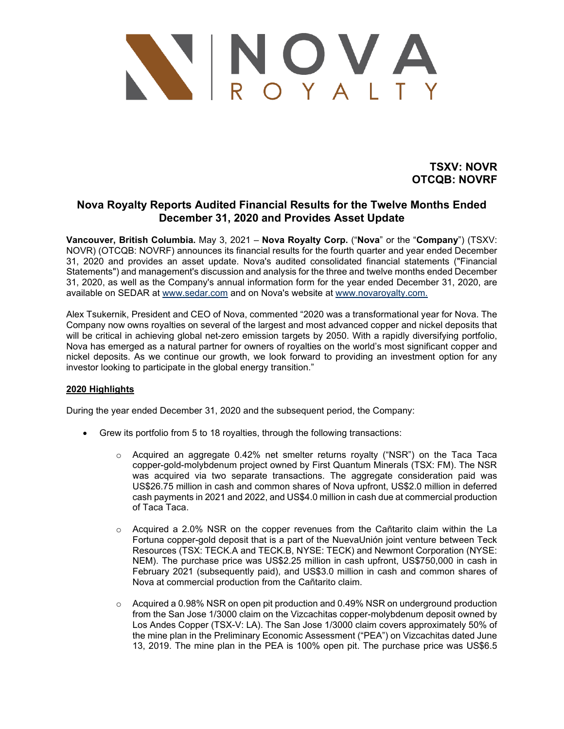

**TSXV: NOVR OTCQB: NOVRF**

# **Nova Royalty Reports Audited Financial Results for the Twelve Months Ended December 31, 2020 and Provides Asset Update**

**Vancouver, British Columbia.** May 3, 2021 – **Nova Royalty Corp.** ("**Nova**" or the "**Company**") (TSXV: NOVR) (OTCQB: NOVRF) announces its financial results for the fourth quarter and year ended December 31, 2020 and provides an asset update. Nova's audited consolidated financial statements ("Financial Statements") and management's discussion and analysis for the three and twelve months ended December 31, 2020, as well as the Company's annual information form for the year ended December 31, 2020, are available on SEDAR at [www.sedar.com](http://www.sedar.com/) and on Nova's website at [www.novaroyalty.com.](http://www.novaroyalty.com/)

Alex Tsukernik, President and CEO of Nova, commented "2020 was a transformational year for Nova. The Company now owns royalties on several of the largest and most advanced copper and nickel deposits that will be critical in achieving global net-zero emission targets by 2050. With a rapidly diversifying portfolio, Nova has emerged as a natural partner for owners of royalties on the world's most significant copper and nickel deposits. As we continue our growth, we look forward to providing an investment option for any investor looking to participate in the global energy transition."

# **2020 Highlights**

During the year ended December 31, 2020 and the subsequent period, the Company:

- Grew its portfolio from 5 to 18 royalties, through the following transactions:
	- $\circ$  Acquired an aggregate 0.42% net smelter returns royalty ("NSR") on the Taca Taca copper-gold-molybdenum project owned by First Quantum Minerals (TSX: FM). The NSR was acquired via two separate transactions. The aggregate consideration paid was US\$26.75 million in cash and common shares of Nova upfront, US\$2.0 million in deferred cash payments in 2021 and 2022, and US\$4.0 million in cash due at commercial production of Taca Taca.
	- $\circ$  Acquired a 2.0% NSR on the copper revenues from the Cañtarito claim within the La Fortuna copper-gold deposit that is a part of the NuevaUnión joint venture between Teck Resources (TSX: TECK.A and TECK.B, NYSE: TECK) and Newmont Corporation (NYSE: NEM). The purchase price was US\$2.25 million in cash upfront, US\$750,000 in cash in February 2021 (subsequently paid), and US\$3.0 million in cash and common shares of Nova at commercial production from the Cañtarito claim.
	- $\circ$  Acquired a 0.98% NSR on open pit production and 0.49% NSR on underground production from the San Jose 1/3000 claim on the Vizcachitas copper-molybdenum deposit owned by Los Andes Copper (TSX-V: LA). The San Jose 1/3000 claim covers approximately 50% of the mine plan in the Preliminary Economic Assessment ("PEA") on Vizcachitas dated June 13, 2019. The mine plan in the PEA is 100% open pit. The purchase price was US\$6.5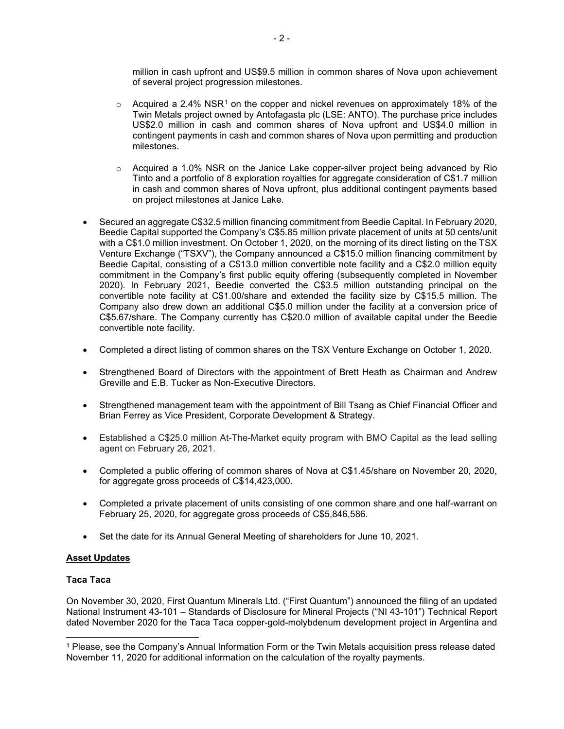million in cash upfront and US\$9.5 million in common shares of Nova upon achievement of several project progression milestones.

- $\circ$  Acquired a 2.4% NSR<sup>[1](#page-1-0)</sup> on the copper and nickel revenues on approximately 18% of the Twin Metals project owned by Antofagasta plc (LSE: ANTO). The purchase price includes US\$2.0 million in cash and common shares of Nova upfront and US\$4.0 million in contingent payments in cash and common shares of Nova upon permitting and production milestones.
- $\circ$  Acquired a 1.0% NSR on the Janice Lake copper-silver project being advanced by Rio Tinto and a portfolio of 8 exploration royalties for aggregate consideration of C\$1.7 million in cash and common shares of Nova upfront, plus additional contingent payments based on project milestones at Janice Lake.
- Secured an aggregate C\$32.5 million financing commitment from Beedie Capital. In February 2020, Beedie Capital supported the Company's C\$5.85 million private placement of units at 50 cents/unit with a C\$1.0 million investment. On October 1, 2020, on the morning of its direct listing on the TSX Venture Exchange ("TSXV"), the Company announced a C\$15.0 million financing commitment by Beedie Capital, consisting of a C\$13.0 million convertible note facility and a C\$2.0 million equity commitment in the Company's first public equity offering (subsequently completed in November 2020). In February 2021, Beedie converted the C\$3.5 million outstanding principal on the convertible note facility at C\$1.00/share and extended the facility size by C\$15.5 million. The Company also drew down an additional C\$5.0 million under the facility at a conversion price of C\$5.67/share. The Company currently has C\$20.0 million of available capital under the Beedie convertible note facility.
- Completed a direct listing of common shares on the TSX Venture Exchange on October 1, 2020.
- Strengthened Board of Directors with the appointment of Brett Heath as Chairman and Andrew Greville and E.B. Tucker as Non-Executive Directors.
- Strengthened management team with the appointment of Bill Tsang as Chief Financial Officer and Brian Ferrey as Vice President, Corporate Development & Strategy.
- Established a C\$25.0 million At-The-Market equity program with BMO Capital as the lead selling agent on February 26, 2021.
- Completed a public offering of common shares of Nova at C\$1.45/share on November 20, 2020, for aggregate gross proceeds of C\$14,423,000.
- Completed a private placement of units consisting of one common share and one half-warrant on February 25, 2020, for aggregate gross proceeds of C\$5,846,586.
- Set the date for its Annual General Meeting of shareholders for June 10, 2021.

# **Asset Updates**

# **Taca Taca**

On November 30, 2020, First Quantum Minerals Ltd. ("First Quantum") announced the filing of an updated National Instrument 43-101 – Standards of Disclosure for Mineral Projects ("NI 43-101") Technical Report dated November 2020 for the Taca Taca copper-gold-molybdenum development project in Argentina and

<span id="page-1-0"></span><sup>1</sup> Please, see the Company's Annual Information Form or the Twin Metals acquisition press release dated November 11, 2020 for additional information on the calculation of the royalty payments.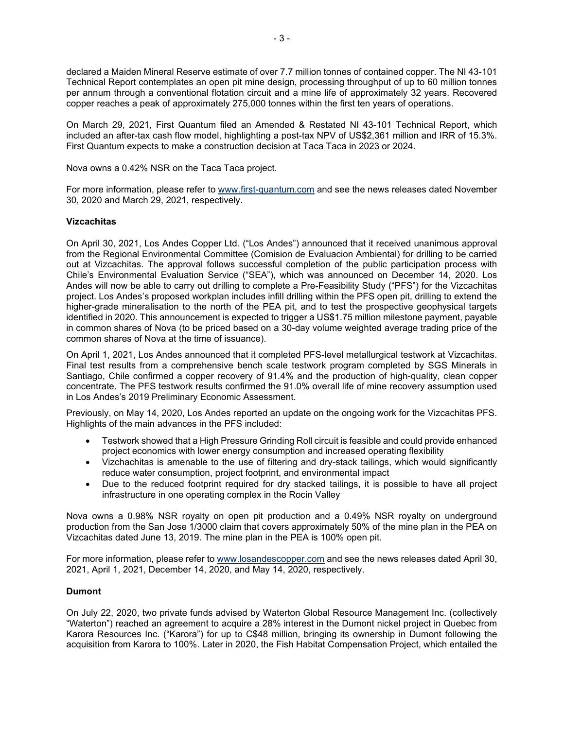declared a Maiden Mineral Reserve estimate of over 7.7 million tonnes of contained copper. The NI 43-101 Technical Report contemplates an open pit mine design, processing throughput of up to 60 million tonnes per annum through a conventional flotation circuit and a mine life of approximately 32 years. Recovered copper reaches a peak of approximately 275,000 tonnes within the first ten years of operations.

On March 29, 2021, First Quantum filed an Amended & Restated NI 43-101 Technical Report, which included an after-tax cash flow model, highlighting a post-tax NPV of US\$2,361 million and IRR of 15.3%. First Quantum expects to make a construction decision at Taca Taca in 2023 or 2024.

Nova owns a 0.42% NSR on the Taca Taca project.

For more information, please refer to [www.first-quantum.com](http://www.first-quantum.com/) and see the news releases dated November 30, 2020 and March 29, 2021, respectively.

# **Vizcachitas**

On April 30, 2021, Los Andes Copper Ltd. ("Los Andes") announced that it received unanimous approval from the Regional Environmental Committee (Comision de Evaluacion Ambiental) for drilling to be carried out at Vizcachitas. The approval follows successful completion of the public participation process with Chile's Environmental Evaluation Service ("SEA"), which was announced on December 14, 2020. Los Andes will now be able to carry out drilling to complete a Pre-Feasibility Study ("PFS") for the Vizcachitas project. Los Andes's proposed workplan includes infill drilling within the PFS open pit, drilling to extend the higher-grade mineralisation to the north of the PEA pit, and to test the prospective geophysical targets identified in 2020. This announcement is expected to trigger a US\$1.75 million milestone payment, payable in common shares of Nova (to be priced based on a 30-day volume weighted average trading price of the common shares of Nova at the time of issuance).

On April 1, 2021, Los Andes announced that it completed PFS-level metallurgical testwork at Vizcachitas. Final test results from a comprehensive bench scale testwork program completed by SGS Minerals in Santiago, Chile confirmed a copper recovery of 91.4% and the production of high-quality, clean copper concentrate. The PFS testwork results confirmed the 91.0% overall life of mine recovery assumption used in Los Andes's 2019 Preliminary Economic Assessment.

Previously, on May 14, 2020, Los Andes reported an update on the ongoing work for the Vizcachitas PFS. Highlights of the main advances in the PFS included:

- Testwork showed that a High Pressure Grinding Roll circuit is feasible and could provide enhanced project economics with lower energy consumption and increased operating flexibility
- Vizchachitas is amenable to the use of filtering and dry-stack tailings, which would significantly reduce water consumption, project footprint, and environmental impact
- Due to the reduced footprint required for dry stacked tailings, it is possible to have all project infrastructure in one operating complex in the Rocin Valley

Nova owns a 0.98% NSR royalty on open pit production and a 0.49% NSR royalty on underground production from the San Jose 1/3000 claim that covers approximately 50% of the mine plan in the PEA on Vizcachitas dated June 13, 2019. The mine plan in the PEA is 100% open pit.

For more information, please refer to [www.losandescopper.com](http://www.losandescopper.com/) and see the news releases dated April 30, 2021, April 1, 2021, December 14, 2020, and May 14, 2020, respectively.

# **Dumont**

On July 22, 2020, two private funds advised by Waterton Global Resource Management Inc. (collectively "Waterton") reached an agreement to acquire a 28% interest in the Dumont nickel project in Quebec from Karora Resources Inc. ("Karora") for up to C\$48 million, bringing its ownership in Dumont following the acquisition from Karora to 100%. Later in 2020, the Fish Habitat Compensation Project, which entailed the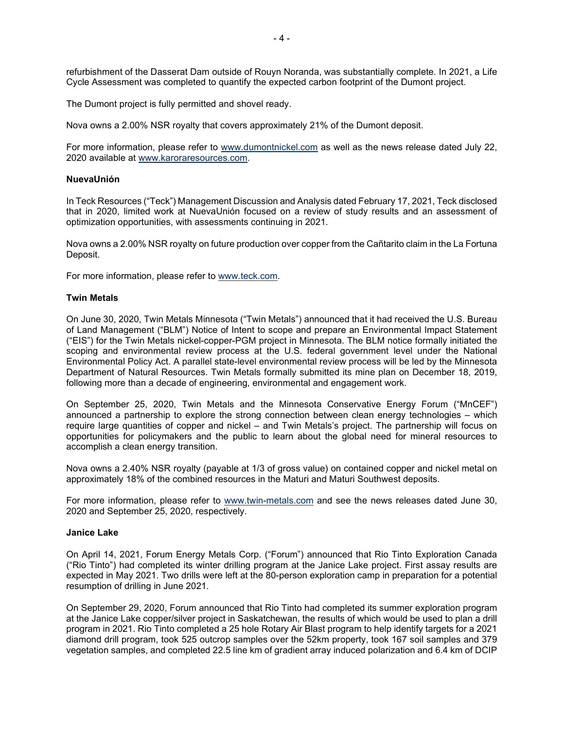refurbishment of the Dasserat Dam outside of Rouyn Noranda, was substantially complete. In 2021, a Life Cycle Assessment was completed to quantify the expected carbon footprint of the Dumont project.

The Dumont project is fully permitted and shovel ready.

Nova owns a 2.00% NSR royalty that covers approximately 21% of the Dumont deposit.

For more information, please refer to [www.dumontnickel.com](http://www.dumontnickel.com/) as well as the news release dated July 22, 2020 available at [www.karoraresources.com.](http://www.karoraresources.com/)

#### **NuevaUnión**

In Teck Resources ("Teck") Management Discussion and Analysis dated February 17, 2021, Teck disclosed that in 2020, limited work at NuevaUnión focused on a review of study results and an assessment of optimization opportunities, with assessments continuing in 2021.

Nova owns a 2.00% NSR royalty on future production over copper from the Cañtarito claim in the La Fortuna Deposit.

For more information, please refer to [www.teck.com.](http://www.teck.com/)

#### **Twin Metals**

On June 30, 2020, Twin Metals Minnesota ("Twin Metals") announced that it had received the U.S. Bureau of Land Management ("BLM") Notice of Intent to scope and prepare an Environmental Impact Statement ("EIS") for the Twin Metals nickel-copper-PGM project in Minnesota. The BLM notice formally initiated the scoping and environmental review process at the U.S. federal government level under the National Environmental Policy Act. A parallel state-level environmental review process will be led by the Minnesota Department of Natural Resources. Twin Metals formally submitted its mine plan on December 18, 2019, following more than a decade of engineering, environmental and engagement work.

On September 25, 2020, Twin Metals and the Minnesota Conservative Energy Forum ("MnCEF") announced a partnership to explore the strong connection between clean energy technologies – which require large quantities of copper and nickel – and Twin Metals's project. The partnership will focus on opportunities for policymakers and the public to learn about the global need for mineral resources to accomplish a clean energy transition.

Nova owns a 2.40% NSR royalty (payable at 1/3 of gross value) on contained copper and nickel metal on approximately 18% of the combined resources in the Maturi and Maturi Southwest deposits.

For more information, please refer to [www.twin-metals.com](http://www.twin-metals.com/) and see the news releases dated June 30, 2020 and September 25, 2020, respectively.

#### **Janice Lake**

On April 14, 2021, Forum Energy Metals Corp. ("Forum") announced that Rio Tinto Exploration Canada ("Rio Tinto") had completed its winter drilling program at the Janice Lake project. First assay results are expected in May 2021. Two drills were left at the 80-person exploration camp in preparation for a potential resumption of drilling in June 2021.

On September 29, 2020, Forum announced that Rio Tinto had completed its summer exploration program at the Janice Lake copper/silver project in Saskatchewan, the results of which would be used to plan a drill program in 2021. Rio Tinto completed a 25 hole Rotary Air Blast program to help identify targets for a 2021 diamond drill program, took 525 outcrop samples over the 52km property, took 167 soil samples and 379 vegetation samples, and completed 22.5 line km of gradient array induced polarization and 6.4 km of DCIP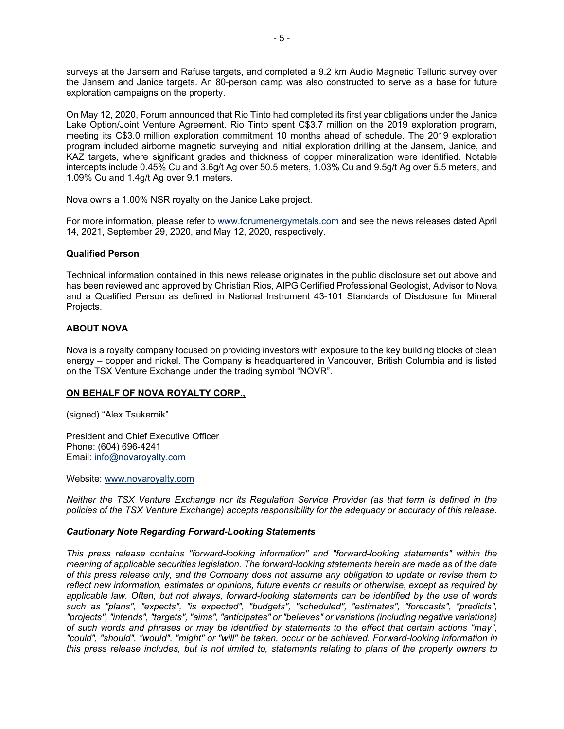surveys at the Jansem and Rafuse targets, and completed a 9.2 km Audio Magnetic Telluric survey over the Jansem and Janice targets. An 80-person camp was also constructed to serve as a base for future exploration campaigns on the property.

On May 12, 2020, Forum announced that Rio Tinto had completed its first year obligations under the Janice Lake Option/Joint Venture Agreement. Rio Tinto spent C\$3.7 million on the 2019 exploration program, meeting its C\$3.0 million exploration commitment 10 months ahead of schedule. The 2019 exploration program included airborne magnetic surveying and initial exploration drilling at the Jansem, Janice, and KAZ targets, where significant grades and thickness of copper mineralization were identified. Notable intercepts include 0.45% Cu and 3.6g/t Ag over 50.5 meters, 1.03% Cu and 9.5g/t Ag over 5.5 meters, and 1.09% Cu and 1.4g/t Ag over 9.1 meters.

Nova owns a 1.00% NSR royalty on the Janice Lake project.

For more information, please refer to [www.forumenergymetals.com](http://www.forumenergymetals.com/) and see the news releases dated April 14, 2021, September 29, 2020, and May 12, 2020, respectively.

#### **Qualified Person**

Technical information contained in this news release originates in the public disclosure set out above and has been reviewed and approved by Christian Rios, AIPG Certified Professional Geologist, Advisor to Nova and a Qualified Person as defined in National Instrument 43-101 Standards of Disclosure for Mineral Projects.

#### **ABOUT NOVA**

Nova is a royalty company focused on providing investors with exposure to the key building blocks of clean energy – copper and nickel. The Company is headquartered in Vancouver, British Columbia and is listed on the TSX Venture Exchange under the trading symbol "NOVR".

# **ON BEHALF OF NOVA ROYALTY CORP.,**

(signed) "Alex Tsukernik"

President and Chief Executive Officer Phone: (604) 696-4241 Email: [info@novaroyalty.com](mailto:info@novaroyalty.com)

Website: [www.novaroyalty.com](http://www.novaroyalty.com/)

*Neither the TSX Venture Exchange nor its Regulation Service Provider (as that term is defined in the policies of the TSX Venture Exchange) accepts responsibility for the adequacy or accuracy of this release.*

#### *Cautionary Note Regarding Forward-Looking Statements*

*This press release contains "forward-looking information" and "forward-looking statements" within the meaning of applicable securities legislation. The forward-looking statements herein are made as of the date of this press release only, and the Company does not assume any obligation to update or revise them to reflect new information, estimates or opinions, future events or results or otherwise, except as required by applicable law. Often, but not always, forward-looking statements can be identified by the use of words such as "plans", "expects", "is expected", "budgets", "scheduled", "estimates", "forecasts", "predicts", "projects", "intends", "targets", "aims", "anticipates" or "believes" or variations (including negative variations) of such words and phrases or may be identified by statements to the effect that certain actions "may", "could", "should", "would", "might" or "will" be taken, occur or be achieved. Forward-looking information in this press release includes, but is not limited to, statements relating to plans of the property owners to*